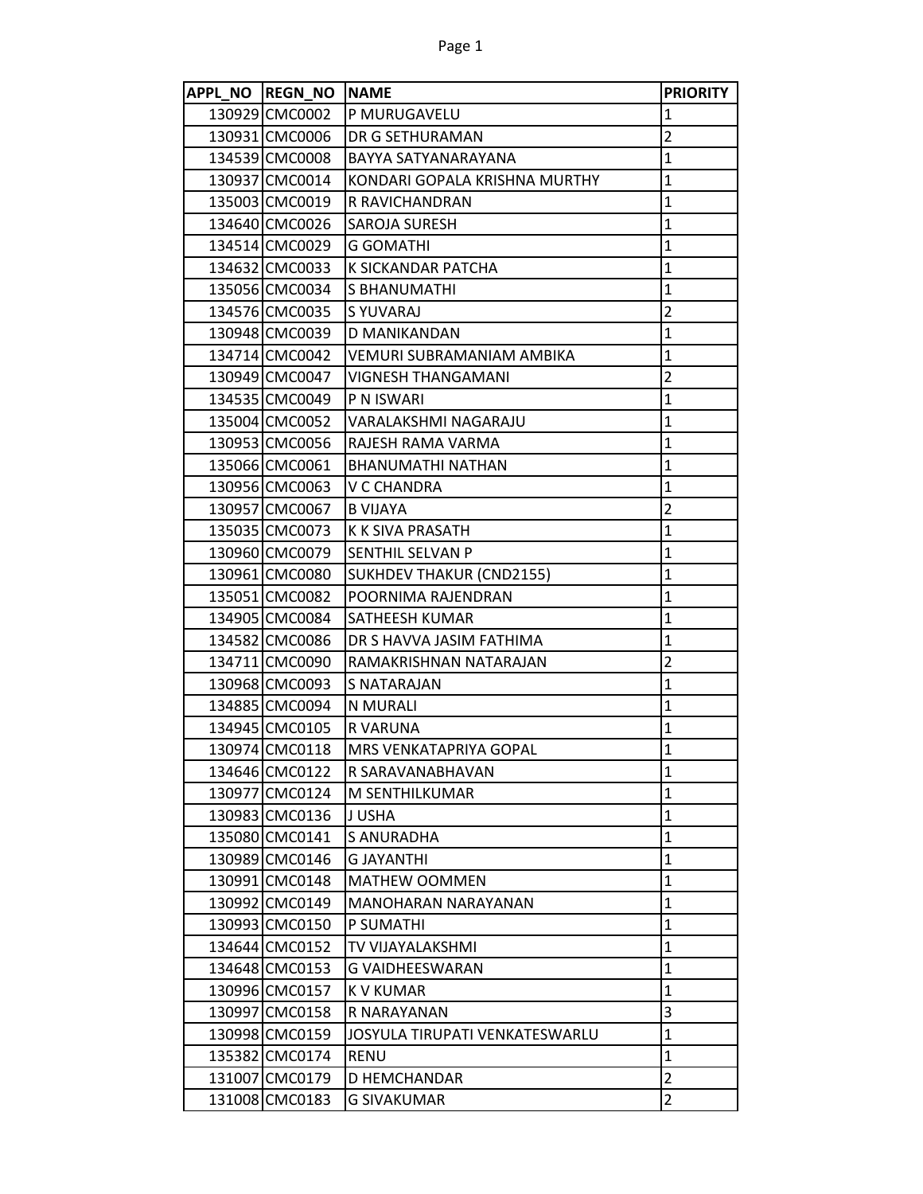| APPL NO REGN NO NAME |                                 | <b>PRIORITY</b> |
|----------------------|---------------------------------|-----------------|
| 130929 CMC0002       | P MURUGAVELU                    | $\mathbf{1}$    |
| 130931 CMC0006       | <b>DR G SETHURAMAN</b>          | $\overline{2}$  |
| 134539 CMC0008       | BAYYA SATYANARAYANA             | $\mathbf{1}$    |
| 130937 CMC0014       | KONDARI GOPALA KRISHNA MURTHY   | $\mathbf{1}$    |
| 135003 CMC0019       | R RAVICHANDRAN                  | $\mathbf{1}$    |
| 134640 CMC0026       | <b>SAROJA SURESH</b>            | 1               |
| 134514 CMC0029       | <b>G GOMATHI</b>                | $\overline{1}$  |
| 134632 CMC0033       | K SICKANDAR PATCHA              | $\mathbf{1}$    |
| 135056 CMC0034       | S BHANUMATHI                    | $\mathbf{1}$    |
| 134576 CMC0035       | <b>SYUVARAJ</b>                 | $\overline{2}$  |
| 130948 CMC0039       | D MANIKANDAN                    | $\mathbf{1}$    |
| 134714 CMC0042       | VEMURI SUBRAMANIAM AMBIKA       | $\mathbf{1}$    |
| 130949 CMC0047       | <b>VIGNESH THANGAMANI</b>       | $\overline{2}$  |
| 134535 CMC0049       | P N ISWARI                      | $\mathbf{1}$    |
| 135004 CMC0052       | VARALAKSHMI NAGARAJU            | $\mathbf{1}$    |
| 130953 CMC0056       | RAJESH RAMA VARMA               | $\mathbf{1}$    |
| 135066 CMC0061       | <b>BHANUMATHI NATHAN</b>        | $\mathbf{1}$    |
| 130956 CMC0063       | V C CHANDRA                     | $\mathbf{1}$    |
| 130957 CMC0067       | <b>B VIJAYA</b>                 | $\overline{2}$  |
| 135035 CMC0073       | K K SIVA PRASATH                | $\mathbf{1}$    |
| 130960 CMC0079       | <b>SENTHIL SELVAN P</b>         | $\mathbf{1}$    |
| 130961 CMC0080       | <b>SUKHDEV THAKUR (CND2155)</b> | $\mathbf{1}$    |
| 135051 CMC0082       | POORNIMA RAJENDRAN              | $\mathbf{1}$    |
| 134905 CMC0084       | SATHEESH KUMAR                  | $\mathbf{1}$    |
| 134582 CMC0086       | DR S HAVVA JASIM FATHIMA        | 1               |
| 134711 CMC0090       | RAMAKRISHNAN NATARAJAN          | $\overline{c}$  |
| 130968 CMC0093       | S NATARAJAN                     | $\mathbf{1}$    |
| 134885 CMC0094       | N MURALI                        | $\mathbf{1}$    |
| 134945 CMC0105       | R VARUNA                        | 1               |
| 130974 CMC0118       | MRS VENKATAPRIYA GOPAL          | $\mathbf{1}$    |
| 134646 CMC0122       | R SARAVANABHAVAN                | $\mathbf{1}$    |
| 130977 CMC0124       | M SENTHILKUMAR                  | $\mathbf{1}$    |
| 130983 CMC0136       | J USHA                          | $\mathbf{1}$    |
| 135080 CMC0141       | S ANURADHA                      | $\mathbf{1}$    |
| 130989 CMC0146       | <b>G JAYANTHI</b>               | $\mathbf{1}$    |
| 130991 CMC0148       | <b>MATHEW OOMMEN</b>            | $\mathbf{1}$    |
| 130992 CMC0149       | MANOHARAN NARAYANAN             | $\mathbf{1}$    |
| 130993 CMC0150       | P SUMATHI                       | $\mathbf{1}$    |
| 134644 CMC0152       | TV VIJAYALAKSHMI                | $\mathbf{1}$    |
| 134648 CMC0153       | G VAIDHEESWARAN                 | $\mathbf{1}$    |
| 130996 CMC0157       | K V KUMAR                       | 1               |
| 130997 CMC0158       | R NARAYANAN                     | 3               |
| 130998 CMC0159       | JOSYULA TIRUPATI VENKATESWARLU  | $\mathbf{1}$    |
| 135382 CMC0174       | <b>RENU</b>                     | $\mathbf{1}$    |
| 131007 CMC0179       | D HEMCHANDAR                    | $\overline{2}$  |
| 131008 CMC0183       | G SIVAKUMAR                     | $\overline{2}$  |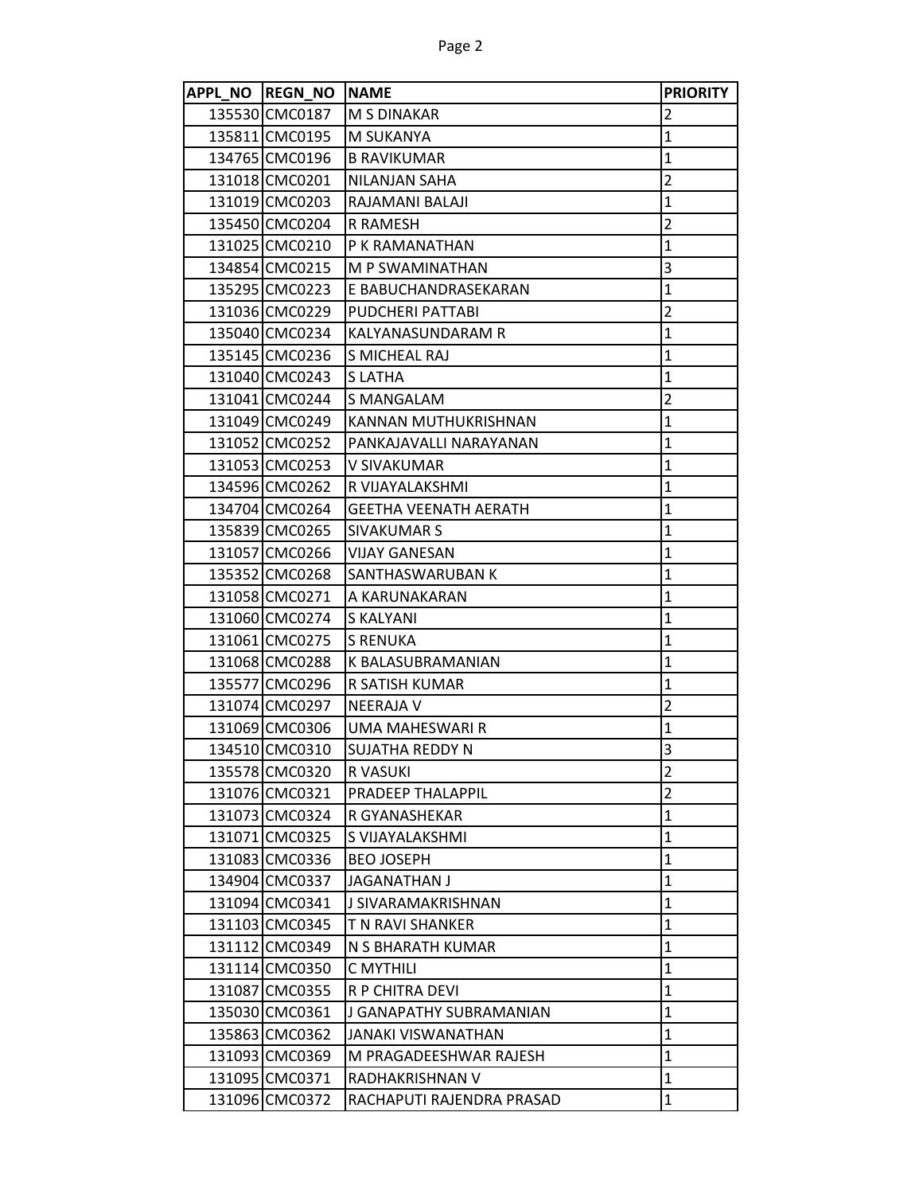| APPL NO REGN NO NAME |                              | <b>PRIORITY</b> |
|----------------------|------------------------------|-----------------|
| 135530 CMC0187       | <b>M S DINAKAR</b>           | 2               |
| 135811 CMC0195       | <b>M SUKANYA</b>             | $\mathbf{1}$    |
| 134765 CMC0196       | <b>B RAVIKUMAR</b>           | $\mathbf{1}$    |
| 131018 CMC0201       | NILANJAN SAHA                | $\overline{2}$  |
| 131019 CMC0203       | RAJAMANI BALAJI              | $\mathbf{1}$    |
| 135450 CMC0204       | R RAMESH                     | $\overline{2}$  |
| 131025 CMC0210       | P K RAMANATHAN               | $\mathbf{1}$    |
| 134854 CMC0215       | M P SWAMINATHAN              | 3               |
| 135295 CMC0223       | E BABUCHANDRASEKARAN         | $\mathbf{1}$    |
| 131036 CMC0229       | PUDCHERI PATTABI             | $\overline{2}$  |
| 135040 CMC0234       | KALYANASUNDARAM R            | $\mathbf{1}$    |
| 135145 CMC0236       | S MICHEAL RAJ                | $\overline{1}$  |
| 131040 CMC0243       | <b>SLATHA</b>                | $\mathbf{1}$    |
| 131041 CMC0244       | S MANGALAM                   | $\overline{2}$  |
| 131049 CMC0249       | KANNAN MUTHUKRISHNAN         | $\mathbf{1}$    |
| 131052 CMC0252       | PANKAJAVALLI NARAYANAN       | 1               |
| 131053 CMC0253       | V SIVAKUMAR                  | $\mathbf{1}$    |
| 134596 CMC0262       | R VIJAYALAKSHMI              | 1               |
| 134704 CMC0264       | <b>GEETHA VEENATH AERATH</b> | $\mathbf{1}$    |
| 135839 CMC0265       | <b>SIVAKUMAR S</b>           | 1               |
| 131057 CMC0266       | <b>VIJAY GANESAN</b>         | $\mathbf{1}$    |
| 135352 CMC0268       | SANTHASWARUBAN K             | $\mathbf{1}$    |
| 131058 CMC0271       | A KARUNAKARAN                | $\mathbf{1}$    |
| 131060 CMC0274       | S KALYANI                    | $\mathbf{1}$    |
| 131061 CMC0275       | <b>S RENUKA</b>              | $\mathbf{1}$    |
| 131068 CMC0288       | K BALASUBRAMANIAN            | $\mathbf{1}$    |
| 135577 CMC0296       | R SATISH KUMAR               | 1               |
| 131074 CMC0297       | <b>NEERAJA V</b>             | $\overline{2}$  |
| 131069 CMC0306       | UMA MAHESWARI R              | $\mathbf{1}$    |
| 134510 CMC0310       | SUJATHA REDDY N              | 3               |
| 135578 CMC0320       | R VASUKI                     | 2               |
| 131076 CMC0321       | PRADEEP THALAPPIL            | $\overline{2}$  |
| 131073 CMC0324       | R GYANASHEKAR                | $\mathbf{1}$    |
| 131071 CMC0325       | S VIJAYALAKSHMI              | $\mathbf{1}$    |
| 131083 CMC0336       | <b>BEO JOSEPH</b>            | 1               |
| 134904 CMC0337       | JAGANATHAN J                 | $\mathbf{1}$    |
| 131094 CMC0341       | J SIVARAMAKRISHNAN           | 1               |
| 131103 CMC0345       | T N RAVI SHANKER             | $\mathbf{1}$    |
| 131112 CMC0349       | N S BHARATH KUMAR            | $\mathbf{1}$    |
| 131114 CMC0350       | C MYTHILI                    | $\mathbf{1}$    |
| 131087 CMC0355       | R P CHITRA DEVI              | $\mathbf{1}$    |
| 135030 CMC0361       | J GANAPATHY SUBRAMANIAN      | $\mathbf{1}$    |
| 135863 CMC0362       | JANAKI VISWANATHAN           | $\mathbf{1}$    |
| 131093 CMC0369       | M PRAGADEESHWAR RAJESH       | $\mathbf{1}$    |
| 131095 CMC0371       | RADHAKRISHNAN V              | $\mathbf{1}$    |
| 131096 CMC0372       | RACHAPUTI RAJENDRA PRASAD    | $\mathbf{1}$    |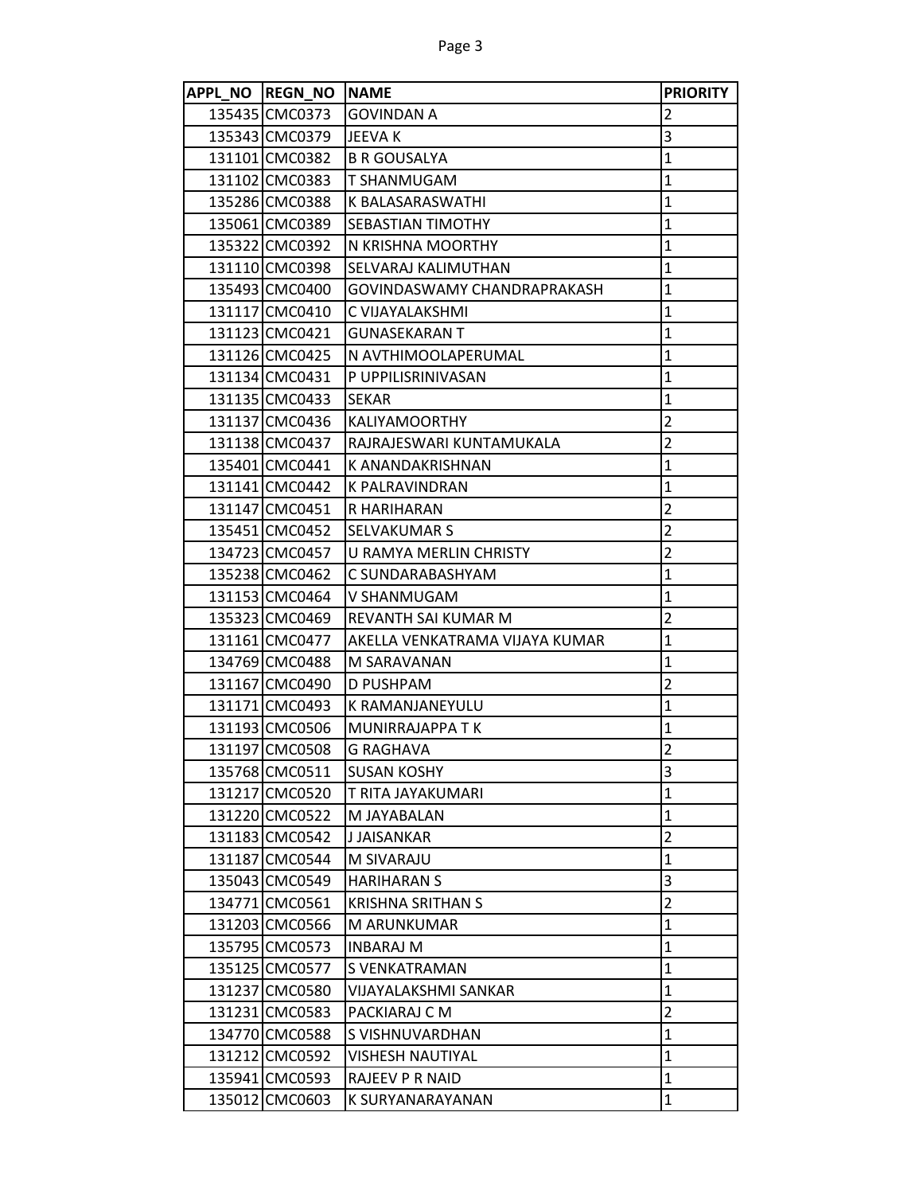| APPL NO REGN NO | <b>NAME</b>                    | <b>PRIORITY</b> |
|-----------------|--------------------------------|-----------------|
| 135435 CMC0373  | <b>GOVINDAN A</b>              | 2               |
| 135343 CMC0379  | <b>JEEVA K</b>                 | 3               |
| 131101 CMC0382  | <b>B R GOUSALYA</b>            | $\mathbf{1}$    |
| 131102 CMC0383  | <b>T SHANMUGAM</b>             | $\mathbf{1}$    |
| 135286 CMC0388  | K BALASARASWATHI               | $\mathbf{1}$    |
| 135061 CMC0389  | <b>SEBASTIAN TIMOTHY</b>       | $\mathbf{1}$    |
| 135322 CMC0392  | N KRISHNA MOORTHY              | $\mathbf{1}$    |
| 131110 CMC0398  | SELVARAJ KALIMUTHAN            | $\mathbf{1}$    |
| 135493 CMC0400  | GOVINDASWAMY CHANDRAPRAKASH    | $\mathbf{1}$    |
| 131117 CMC0410  | C VIJAYALAKSHMI                | $\mathbf{1}$    |
| 131123 CMC0421  | <b>GUNASEKARAN T</b>           | 1               |
| 131126 CMC0425  | N AVTHIMOOLAPERUMAL            | $\mathbf{1}$    |
| 131134 CMC0431  | P UPPILISRINIVASAN             | 1               |
| 131135 CMC0433  | <b>SEKAR</b>                   | $\mathbf{1}$    |
| 131137 CMC0436  | <b>KALIYAMOORTHY</b>           | $\overline{2}$  |
| 131138 CMC0437  | RAJRAJESWARI KUNTAMUKALA       | $\overline{2}$  |
| 135401 CMC0441  | K ANANDAKRISHNAN               | 1               |
| 131141 CMC0442  | <b>K PALRAVINDRAN</b>          | $\mathbf{1}$    |
| 131147 CMC0451  | R HARIHARAN                    | $\overline{2}$  |
| 135451 CMC0452  | SELVAKUMAR S                   | $\overline{2}$  |
| 134723 CMC0457  | U RAMYA MERLIN CHRISTY         | $\overline{2}$  |
| 135238 CMC0462  | C SUNDARABASHYAM               | $\mathbf{1}$    |
| 131153 CMC0464  | V SHANMUGAM                    | 1               |
| 135323 CMC0469  | REVANTH SAI KUMAR M            | $\overline{2}$  |
| 131161 CMC0477  | AKELLA VENKATRAMA VIJAYA KUMAR | 1               |
| 134769 CMC0488  | M SARAVANAN                    | $\mathbf{1}$    |
| 131167 CMC0490  | D PUSHPAM                      | $\overline{2}$  |
| 131171 CMC0493  | K RAMANJANEYULU                | 1               |
| 131193 CMC0506  | MUNIRRAJAPPA T K               | $\mathbf{1}$    |
| 131197 CMC0508  | <b>G RAGHAVA</b>               | $\overline{2}$  |
| 135768 CMC0511  | <b>SUSAN KOSHY</b>             | 3               |
| 131217 CMC0520  | T RITA JAYAKUMARI              | $\mathbf{1}$    |
| 131220 CMC0522  | M JAYABALAN                    | $\mathbf{1}$    |
| 131183 CMC0542  | J JAISANKAR                    | $\overline{2}$  |
| 131187 CMC0544  | M SIVARAJU                     | $\mathbf{1}$    |
| 135043 CMC0549  | <b>HARIHARAN S</b>             | 3               |
| 134771 CMC0561  | <b>KRISHNA SRITHAN S</b>       | $\overline{2}$  |
| 131203 CMC0566  | M ARUNKUMAR                    | $\mathbf{1}$    |
| 135795 CMC0573  | <b>INBARAJ M</b>               | $\mathbf{1}$    |
| 135125 CMC0577  | S VENKATRAMAN                  | $\mathbf{1}$    |
| 131237 CMC0580  | VIJAYALAKSHMI SANKAR           | $\mathbf{1}$    |
| 131231 CMC0583  | PACKIARAJ C M                  | $\overline{2}$  |
| 134770 CMC0588  | S VISHNUVARDHAN                | $\mathbf{1}$    |
| 131212 CMC0592  | <b>VISHESH NAUTIYAL</b>        | $\mathbf{1}$    |
| 135941 CMC0593  | RAJEEV P R NAID                | $\mathbf{1}$    |
| 135012 CMC0603  | K SURYANARAYANAN               | $\mathbf{1}$    |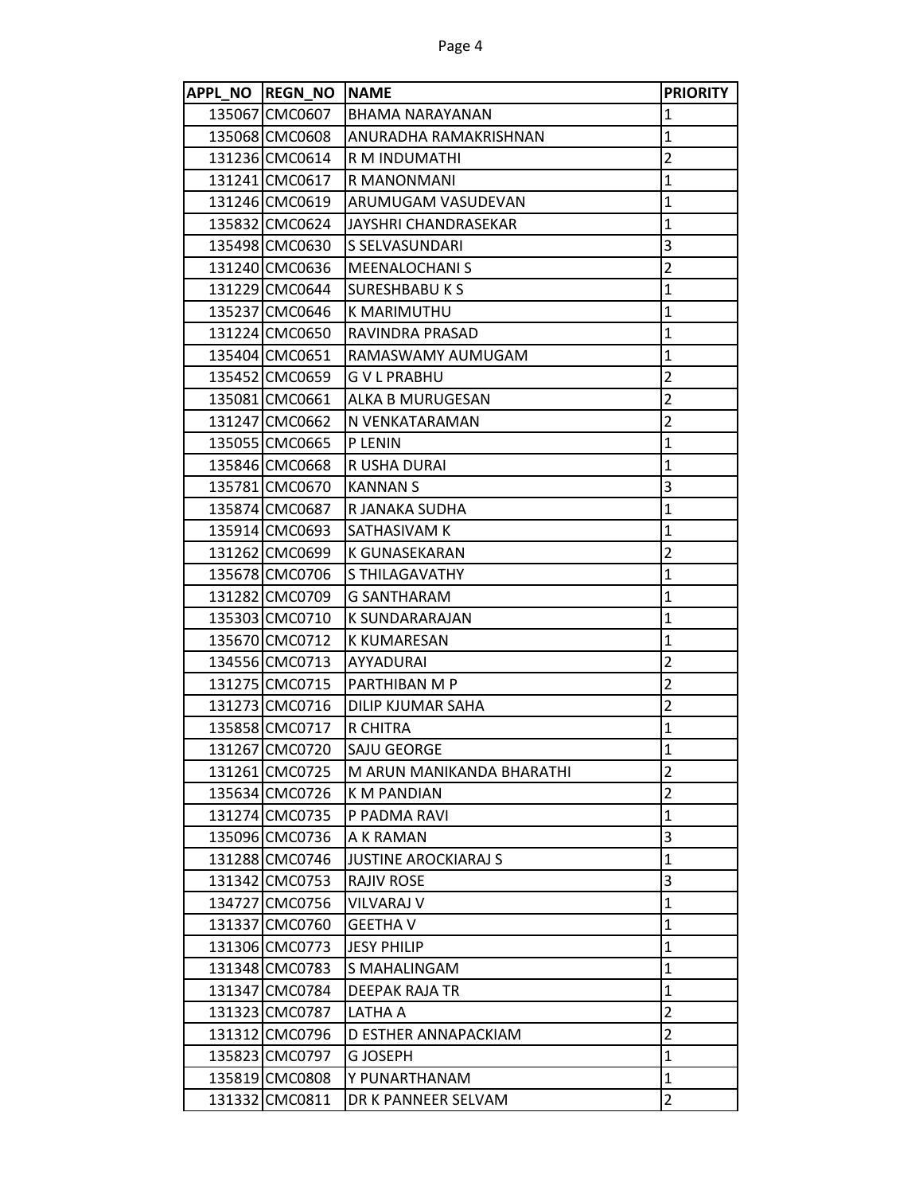| APPL NO REGN NO NAME |                             | <b>PRIORITY</b>         |
|----------------------|-----------------------------|-------------------------|
| 135067 CMC0607       | IBHAMA NARAYANAN            | $\mathbf 1$             |
| 135068 CMC0608       | ANURADHA RAMAKRISHNAN       | $\mathbf{1}$            |
| 131236 CMC0614       | R M INDUMATHI               | $\overline{2}$          |
| 131241 CMC0617       | R MANONMANI                 | $\mathbf{1}$            |
| 131246 CMC0619       | ARUMUGAM VASUDEVAN          | $\mathbf{1}$            |
| 135832 CMC0624       | JAYSHRI CHANDRASEKAR        | $\mathbf{1}$            |
| 135498 CMC0630       | S SELVASUNDARI              | 3                       |
| 131240 CMC0636       | <b>MEENALOCHANIS</b>        | $\overline{2}$          |
| 131229 CMC0644       | <b>SURESHBABU K S</b>       | $\mathbf 1$             |
| 135237 CMC0646       | K MARIMUTHU                 | 1                       |
| 131224 CMC0650       | RAVINDRA PRASAD             | $\mathbf{1}$            |
| 135404 CMC0651       | RAMASWAMY AUMUGAM           | $\mathbf 1$             |
| 135452 CMC0659       | <b>GVLPRABHU</b>            | $\overline{2}$          |
| 135081 CMC0661       | ALKA B MURUGESAN            | $\overline{c}$          |
| 131247 CMC0662       | N VENKATARAMAN              | $\overline{2}$          |
| 135055 CMC0665       | P LENIN                     | $\mathbf{1}$            |
| 135846 CMC0668       | R USHA DURAI                | $\mathbf{1}$            |
| 135781 CMC0670       | <b>KANNAN S</b>             | 3                       |
| 135874 CMC0687       | R JANAKA SUDHA              | $\mathbf{1}$            |
| 135914 CMC0693       | SATHASIVAM K                | $\mathbf{1}$            |
| 131262 CMC0699       | K GUNASEKARAN               | $\overline{2}$          |
| 135678 CMC0706       | S THILAGAVATHY              | $\mathbf{1}$            |
| 131282 CMC0709       | <b>G SANTHARAM</b>          | $\mathbf{1}$            |
| 135303 CMC0710       | K SUNDARARAJAN              | $\mathbf{1}$            |
| 135670 CMC0712       | <b>K KUMARESAN</b>          | $\mathbf{1}$            |
| 134556 CMC0713       | AYYADURAI                   | $\overline{2}$          |
| 131275 CMC0715       | PARTHIBAN M P               | $\overline{2}$          |
| 131273 CMC0716       | DILIP KJUMAR SAHA           | $\overline{2}$          |
| 135858 CMC0717       | R CHITRA                    | $\mathbf{1}$            |
| 131267 CMC0720       | SAJU GEORGE                 | $\mathbf 1$             |
| 131261 CMC0725       | M ARUN MANIKANDA BHARATHI   | $\overline{\mathbf{c}}$ |
| 135634 CMC0726       | <b>K M PANDIAN</b>          | $\overline{2}$          |
| 131274 CMC0735       | P PADMA RAVI                | $\mathbf 1$             |
| 135096 CMC0736       | A K RAMAN                   | 3                       |
| 131288 CMC0746       | <b>JUSTINE AROCKIARAJ S</b> | $\mathbf{1}$            |
| 131342 CMC0753       | <b>RAJIV ROSE</b>           | 3                       |
| 134727 CMC0756       | <b>VILVARAJ V</b>           | $\mathbf{1}$            |
| 131337 CMC0760       | <b>GEETHA V</b>             | $\mathbf 1$             |
| 131306 CMC0773       | <b>JESY PHILIP</b>          | $\mathbf 1$             |
| 131348 CMC0783       | S MAHALINGAM                | $\mathbf{1}$            |
| 131347 CMC0784       | <b>DEEPAK RAJA TR</b>       | $\mathbf{1}$            |
| 131323 CMC0787       | LATHA A                     | $\overline{2}$          |
| 131312 CMC0796       | D ESTHER ANNAPACKIAM        | $\overline{2}$          |
| 135823 CMC0797       | <b>GJOSEPH</b>              | $\mathbf{1}$            |
| 135819 CMC0808       | Y PUNARTHANAM               | $\mathbf 1$             |
| 131332 CMC0811       | DR K PANNEER SELVAM         | $\overline{2}$          |